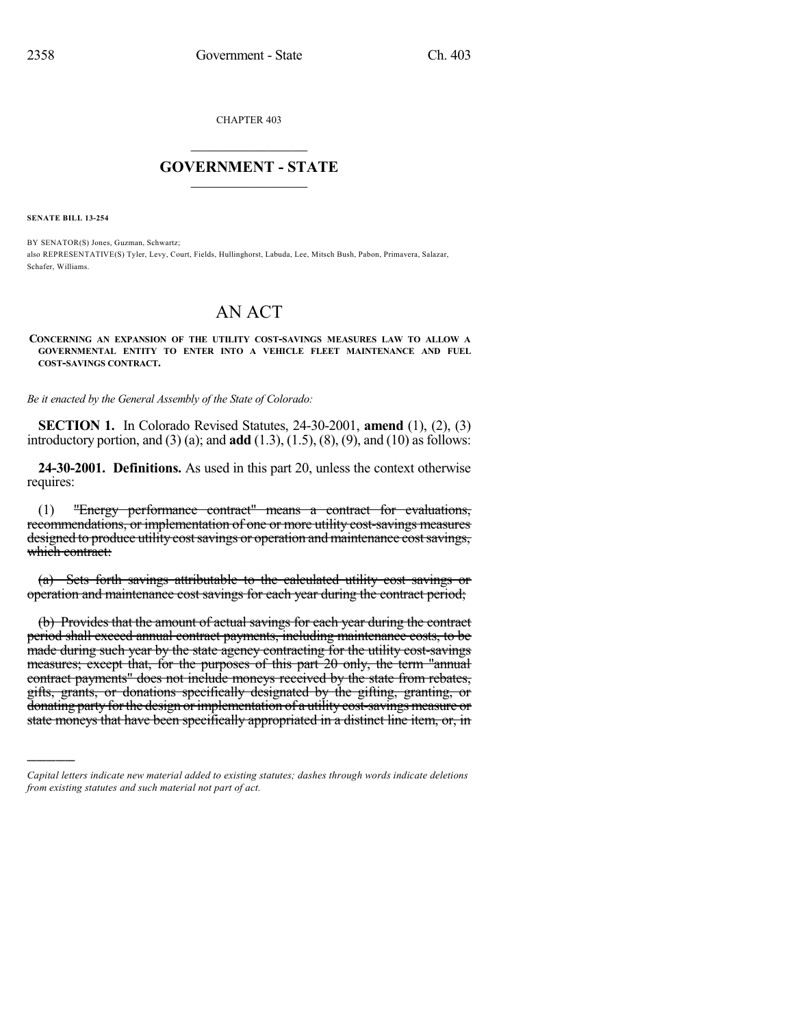CHAPTER 403

## $\mathcal{L}_\text{max}$  . The set of the set of the set of the set of the set of the set of the set of the set of the set of the set of the set of the set of the set of the set of the set of the set of the set of the set of the set **GOVERNMENT - STATE**  $\_$   $\_$

**SENATE BILL 13-254**

)))))

BY SENATOR(S) Jones, Guzman, Schwartz; also REPRESENTATIVE(S) Tyler, Levy, Court, Fields, Hullinghorst, Labuda, Lee, Mitsch Bush, Pabon, Primavera, Salazar, Schafer, Williams.

## AN ACT

## **CONCERNING AN EXPANSION OF THE UTILITY COST-SAVINGS MEASURES LAW TO ALLOW A GOVERNMENTAL ENTITY TO ENTER INTO A VEHICLE FLEET MAINTENANCE AND FUEL COST-SAVINGS CONTRACT.**

*Be it enacted by the General Assembly of the State of Colorado:*

**SECTION 1.** In Colorado Revised Statutes, 24-30-2001, **amend** (1), (2), (3) introductory portion, and (3) (a); and **add**  $(1.3)$ ,  $(1.5)$ ,  $(8)$ ,  $(9)$ , and  $(10)$  as follows:

**24-30-2001. Definitions.** As used in this part 20, unless the context otherwise requires:

(1) "Energy performance contract" means a contract for evaluations, recommendations, or implementation of one or more utility cost-savings measures designed to produce utility cost savings or operation and maintenance cost savings, which contract:

(a) Sets forth savings attributable to the calculated utility cost savings or operation and maintenance cost savings for each year during the contract period;

(b) Provides that the amount of actual savings for each year during the contract period shall exceed annual contract payments, including maintenance costs, to be made during such year by the state agency contracting for the utility cost-savings measures; except that, for the purposes of this part 20 only, the term "annual contract payments" does not include moneys received by the state from rebates, gifts, grants, or donations specifically designated by the gifting, granting, or donating party for the design or implementation of a utility cost-savings measure or state moneys that have been specifically appropriated in a distinct line item, or, in

*Capital letters indicate new material added to existing statutes; dashes through words indicate deletions from existing statutes and such material not part of act.*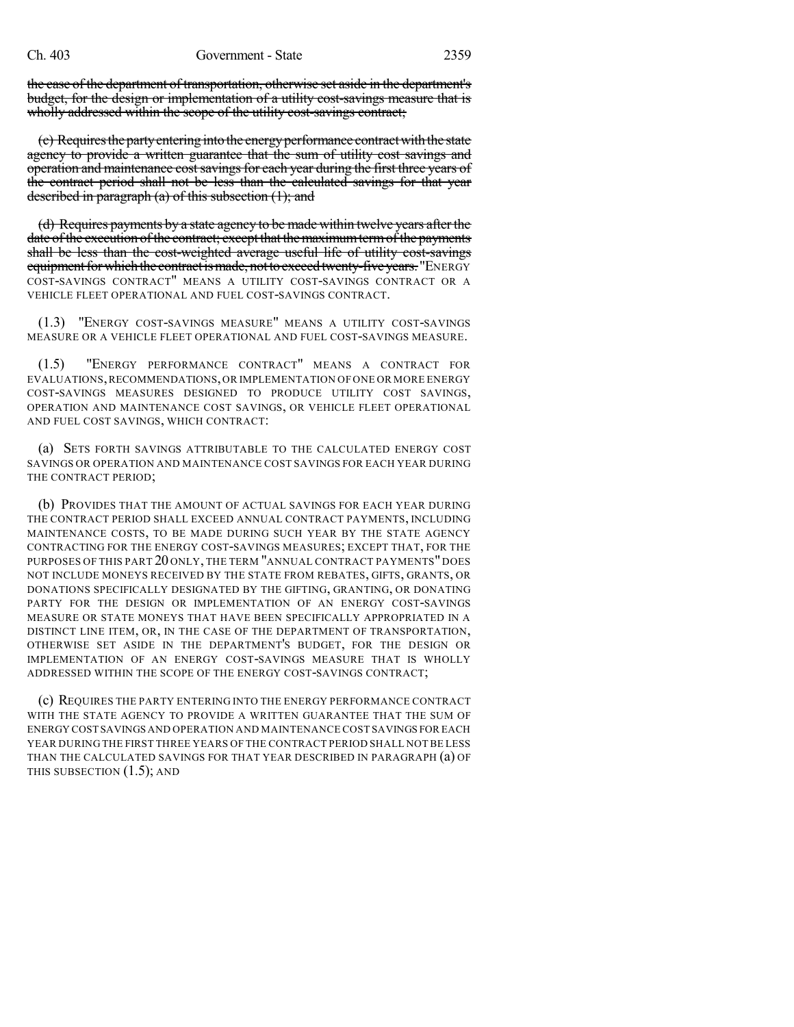the case of the department of transportation, otherwise set aside in the department's budget, for the design or implementation of a utility cost-savings measure that is wholly addressed within the scope of the utility cost-savings contract;

(c) Requires the party entering into the energy performance contract with the state agency to provide a written guarantee that the sum of utility cost savings and operation and maintenance cost savings for each year during the first three years of the contract period shall not be less than the calculated savings for that year described in paragraph (a) of this subsection (1); and

(d) Requires payments by a state agency to be made within twelve years after the date of the execution of the contract; except that the maximum term of the payments shall be less than the cost-weighted average useful life of utility cost-savings equipment for which the contract is made, not to exceed twenty-five years. "ENERGY COST-SAVINGS CONTRACT" MEANS A UTILITY COST-SAVINGS CONTRACT OR A VEHICLE FLEET OPERATIONAL AND FUEL COST-SAVINGS CONTRACT.

(1.3) "ENERGY COST-SAVINGS MEASURE" MEANS A UTILITY COST-SAVINGS MEASURE OR A VEHICLE FLEET OPERATIONAL AND FUEL COST-SAVINGS MEASURE.

(1.5) "ENERGY PERFORMANCE CONTRACT" MEANS A CONTRACT FOR EVALUATIONS,RECOMMENDATIONS,OR IMPLEMENTATION OF ONE OR MORE ENERGY COST-SAVINGS MEASURES DESIGNED TO PRODUCE UTILITY COST SAVINGS, OPERATION AND MAINTENANCE COST SAVINGS, OR VEHICLE FLEET OPERATIONAL AND FUEL COST SAVINGS, WHICH CONTRACT:

(a) SETS FORTH SAVINGS ATTRIBUTABLE TO THE CALCULATED ENERGY COST SAVINGS OR OPERATION AND MAINTENANCE COST SAVINGS FOR EACH YEAR DURING THE CONTRACT PERIOD;

(b) PROVIDES THAT THE AMOUNT OF ACTUAL SAVINGS FOR EACH YEAR DURING THE CONTRACT PERIOD SHALL EXCEED ANNUAL CONTRACT PAYMENTS, INCLUDING MAINTENANCE COSTS, TO BE MADE DURING SUCH YEAR BY THE STATE AGENCY CONTRACTING FOR THE ENERGY COST-SAVINGS MEASURES; EXCEPT THAT, FOR THE PURPOSES OF THIS PART 20 ONLY, THE TERM "ANNUAL CONTRACT PAYMENTS" DOES NOT INCLUDE MONEYS RECEIVED BY THE STATE FROM REBATES, GIFTS, GRANTS, OR DONATIONS SPECIFICALLY DESIGNATED BY THE GIFTING, GRANTING, OR DONATING PARTY FOR THE DESIGN OR IMPLEMENTATION OF AN ENERGY COST-SAVINGS MEASURE OR STATE MONEYS THAT HAVE BEEN SPECIFICALLY APPROPRIATED IN A DISTINCT LINE ITEM, OR, IN THE CASE OF THE DEPARTMENT OF TRANSPORTATION, OTHERWISE SET ASIDE IN THE DEPARTMENT'S BUDGET, FOR THE DESIGN OR IMPLEMENTATION OF AN ENERGY COST-SAVINGS MEASURE THAT IS WHOLLY ADDRESSED WITHIN THE SCOPE OF THE ENERGY COST-SAVINGS CONTRACT;

(c) REQUIRES THE PARTY ENTERING INTO THE ENERGY PERFORMANCE CONTRACT WITH THE STATE AGENCY TO PROVIDE A WRITTEN GUARANTEE THAT THE SUM OF ENERGY COST SAVINGS AND OPERATION AND MAINTENANCE COST SAVINGS FOR EACH YEAR DURING THE FIRST THREE YEARS OF THE CONTRACT PERIOD SHALL NOTBE LESS THAN THE CALCULATED SAVINGS FOR THAT YEAR DESCRIBED IN PARAGRAPH (a) OF THIS SUBSECTION (1.5); AND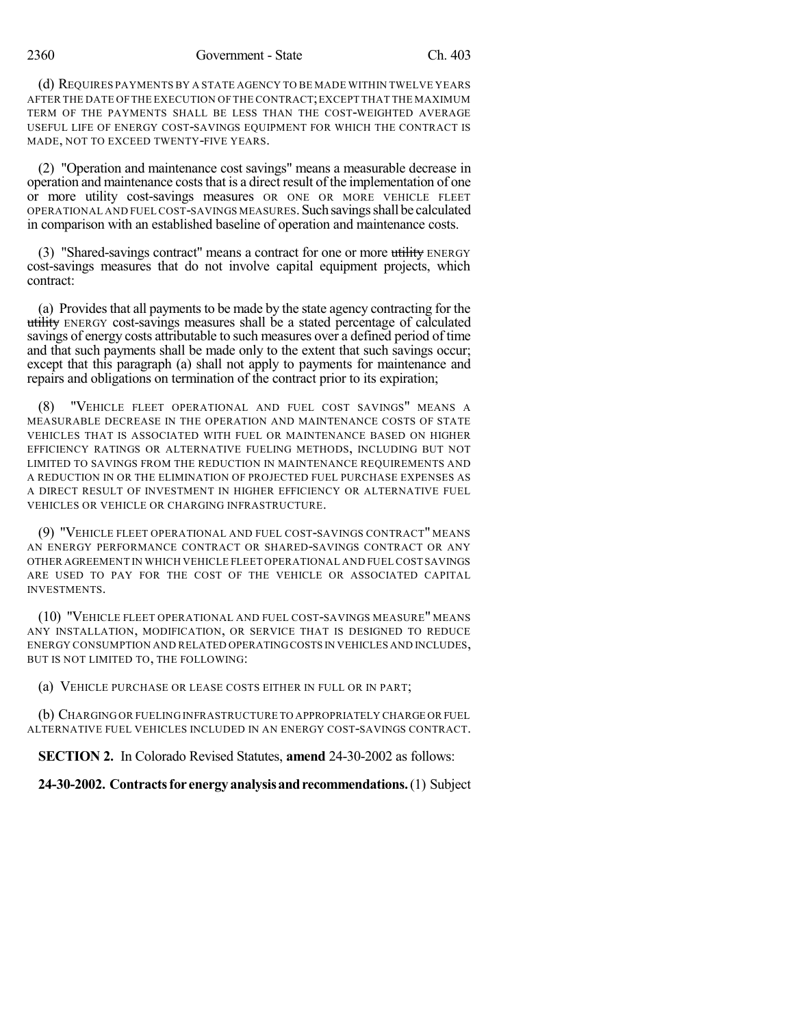2360 Government - State Ch. 403

(d) REQUIRES PAYMENTS BY A STATE AGENCY TO BE MADE WITHIN TWELVE YEARS AFTER THE DATE OF THE EXECUTION OF THE CONTRACT;EXCEPT THAT THE MAXIMUM TERM OF THE PAYMENTS SHALL BE LESS THAN THE COST-WEIGHTED AVERAGE USEFUL LIFE OF ENERGY COST-SAVINGS EQUIPMENT FOR WHICH THE CONTRACT IS MADE, NOT TO EXCEED TWENTY-FIVE YEARS.

(2) "Operation and maintenance cost savings" means a measurable decrease in operation and maintenance costs that is a direct result of the implementation of one or more utility cost-savings measures OR ONE OR MORE VEHICLE FLEET OPERATIONAL AND FUEL COST-SAVINGS MEASURES. Such savings shall be calculated in comparison with an established baseline of operation and maintenance costs.

(3) "Shared-savings contract" means a contract for one or more utility ENERGY cost-savings measures that do not involve capital equipment projects, which contract:

(a) Provides that all payments to be made by the state agency contracting for the utility ENERGY cost-savings measures shall be a stated percentage of calculated savings of energy costs attributable to such measures over a defined period of time and that such payments shall be made only to the extent that such savings occur; except that this paragraph (a) shall not apply to payments for maintenance and repairs and obligations on termination of the contract prior to its expiration;

"VEHICLE FLEET OPERATIONAL AND FUEL COST SAVINGS" MEANS A MEASURABLE DECREASE IN THE OPERATION AND MAINTENANCE COSTS OF STATE VEHICLES THAT IS ASSOCIATED WITH FUEL OR MAINTENANCE BASED ON HIGHER EFFICIENCY RATINGS OR ALTERNATIVE FUELING METHODS, INCLUDING BUT NOT LIMITED TO SAVINGS FROM THE REDUCTION IN MAINTENANCE REQUIREMENTS AND A REDUCTION IN OR THE ELIMINATION OF PROJECTED FUEL PURCHASE EXPENSES AS A DIRECT RESULT OF INVESTMENT IN HIGHER EFFICIENCY OR ALTERNATIVE FUEL VEHICLES OR VEHICLE OR CHARGING INFRASTRUCTURE.

(9) "VEHICLE FLEET OPERATIONAL AND FUEL COST-SAVINGS CONTRACT" MEANS AN ENERGY PERFORMANCE CONTRACT OR SHARED-SAVINGS CONTRACT OR ANY OTHER AGREEMENT IN WHICH VEHICLE FLEET OPERATIONAL AND FUEL COST SAVINGS ARE USED TO PAY FOR THE COST OF THE VEHICLE OR ASSOCIATED CAPITAL INVESTMENTS.

(10) "VEHICLE FLEET OPERATIONAL AND FUEL COST-SAVINGS MEASURE" MEANS ANY INSTALLATION, MODIFICATION, OR SERVICE THAT IS DESIGNED TO REDUCE ENERGY CONSUMPTION AND RELATED OPERATINGCOSTS IN VEHICLES AND INCLUDES, BUT IS NOT LIMITED TO, THE FOLLOWING:

(a) VEHICLE PURCHASE OR LEASE COSTS EITHER IN FULL OR IN PART;

(b) CHARGING OR FUELING INFRASTRUCTURE TO APPROPRIATELY CHARGE OR FUEL ALTERNATIVE FUEL VEHICLES INCLUDED IN AN ENERGY COST-SAVINGS CONTRACT.

**SECTION 2.** In Colorado Revised Statutes, **amend** 24-30-2002 as follows:

**24-30-2002. Contractsfor energyanalysisandrecommendations.**(1) Subject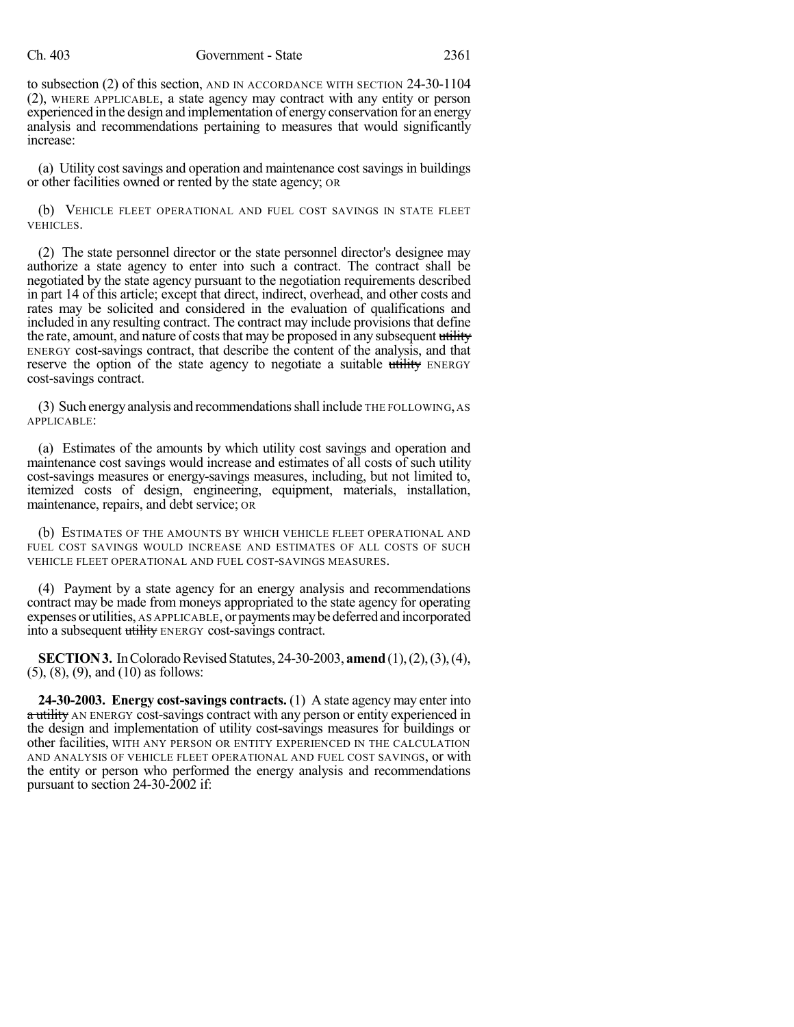## Ch. 403 Government - State 2361

to subsection (2) of this section, AND IN ACCORDANCE WITH SECTION 24-30-1104 (2), WHERE APPLICABLE, a state agency may contract with any entity or person experienced in the design and implementation of energy conservation for an energy analysis and recommendations pertaining to measures that would significantly increase:

(a) Utility cost savings and operation and maintenance cost savings in buildings or other facilities owned or rented by the state agency; OR

(b) VEHICLE FLEET OPERATIONAL AND FUEL COST SAVINGS IN STATE FLEET VEHICLES.

(2) The state personnel director or the state personnel director's designee may authorize a state agency to enter into such a contract. The contract shall be negotiated by the state agency pursuant to the negotiation requirements described in part 14 of this article; except that direct, indirect, overhead, and other costs and rates may be solicited and considered in the evaluation of qualifications and included in any resulting contract. The contract may include provisions that define the rate, amount, and nature of costs that may be proposed in any subsequent utility ENERGY cost-savings contract, that describe the content of the analysis, and that reserve the option of the state agency to negotiate a suitable utility ENERGY cost-savings contract.

(3) Such energyanalysis and recommendationsshall include THE FOLLOWING, AS APPLICABLE:

(a) Estimates of the amounts by which utility cost savings and operation and maintenance cost savings would increase and estimates of all costs of such utility cost-savings measures or energy-savings measures, including, but not limited to, itemized costs of design, engineering, equipment, materials, installation, maintenance, repairs, and debt service; OR

(b) ESTIMATES OF THE AMOUNTS BY WHICH VEHICLE FLEET OPERATIONAL AND FUEL COST SAVINGS WOULD INCREASE AND ESTIMATES OF ALL COSTS OF SUCH VEHICLE FLEET OPERATIONAL AND FUEL COST-SAVINGS MEASURES.

(4) Payment by a state agency for an energy analysis and recommendations contract may be made from moneys appropriated to the state agency for operating expenses or utilities, AS APPLICABLE, or payments may be deferred and incorporated into a subsequent utility ENERGY cost-savings contract.

**SECTION 3.** In Colorado Revised Statutes, 24-30-2003, **amend** (1), (2), (3), (4), (5), (8), (9), and (10) as follows:

**24-30-2003. Energy cost-savings contracts.** (1) A state agency may enter into a utility AN ENERGY cost-savings contract with any person or entity experienced in the design and implementation of utility cost-savings measures for buildings or other facilities, WITH ANY PERSON OR ENTITY EXPERIENCED IN THE CALCULATION AND ANALYSIS OF VEHICLE FLEET OPERATIONAL AND FUEL COST SAVINGS, or with the entity or person who performed the energy analysis and recommendations pursuant to section 24-30-2002 if: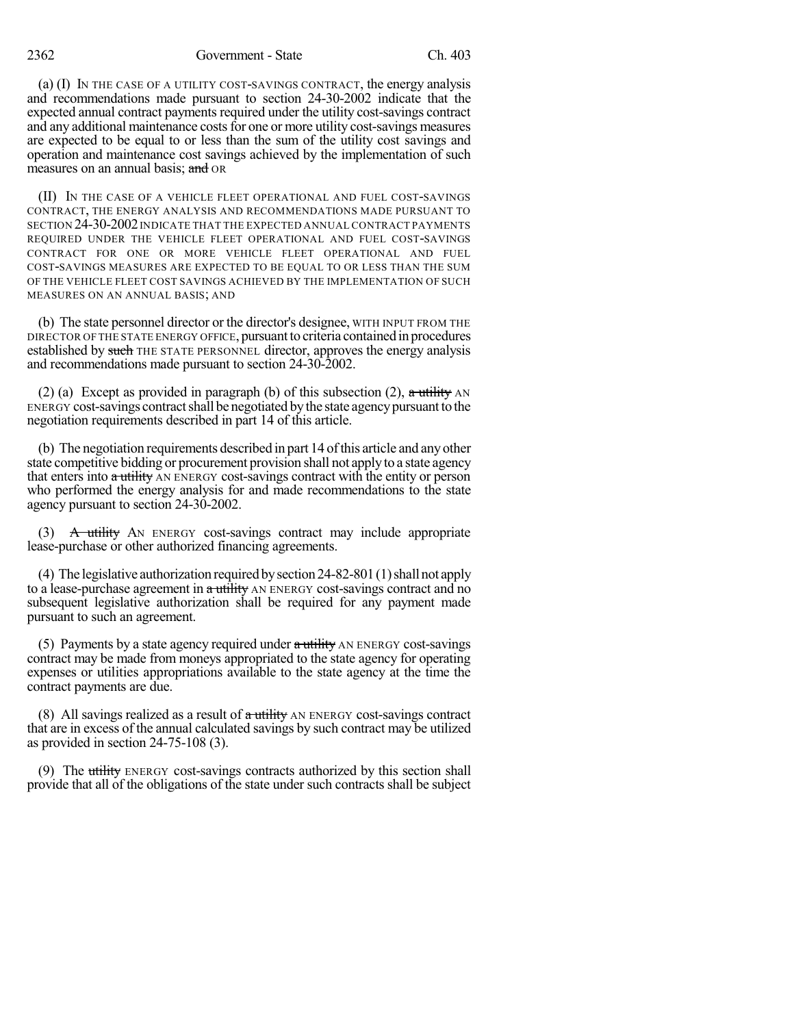2362 Government - State Ch. 403

(a) (I) IN THE CASE OF A UTILITY COST-SAVINGS CONTRACT, the energy analysis and recommendations made pursuant to section 24-30-2002 indicate that the expected annual contract payments required under the utility cost-savings contract and any additional maintenance costs for one or more utility cost-savings measures are expected to be equal to or less than the sum of the utility cost savings and operation and maintenance cost savings achieved by the implementation of such measures on an annual basis; and OR

(II) IN THE CASE OF A VEHICLE FLEET OPERATIONAL AND FUEL COST-SAVINGS CONTRACT, THE ENERGY ANALYSIS AND RECOMMENDATIONS MADE PURSUANT TO SECTION 24-30-2002 INDICATE THAT THE EXPECTED ANNUAL CONTRACT PAYMENTS REQUIRED UNDER THE VEHICLE FLEET OPERATIONAL AND FUEL COST-SAVINGS CONTRACT FOR ONE OR MORE VEHICLE FLEET OPERATIONAL AND FUEL COST-SAVINGS MEASURES ARE EXPECTED TO BE EQUAL TO OR LESS THAN THE SUM OF THE VEHICLE FLEET COST SAVINGS ACHIEVED BY THE IMPLEMENTATION OF SUCH MEASURES ON AN ANNUAL BASIS; AND

(b) The state personnel director or the director's designee, WITH INPUT FROM THE DIRECTOR OF THE STATE ENERGY OFFICE, pursuant to criteria contained in procedures established by such THE STATE PERSONNEL director, approves the energy analysis and recommendations made pursuant to section 24-30-2002.

(2) (a) Except as provided in paragraph (b) of this subsection (2),  $\alpha$  utility AN ENERGY cost-savings contractshall be negotiated bythe state agencypursuantto the negotiation requirements described in part 14 of this article.

(b) The negotiation requirements described in part 14 ofthis article and any other state competitive bidding or procurement provision shall not apply to a state agency that enters into a utility AN ENERGY cost-savings contract with the entity or person who performed the energy analysis for and made recommendations to the state agency pursuant to section 24-30-2002.

(3)  $\overline{A}$  utility AN ENERGY cost-savings contract may include appropriate lease-purchase or other authorized financing agreements.

(4) The legislative authorization required by section  $24-82-801$  (1) shall not apply to a lease-purchase agreement in  $\alpha$  utility AN ENERGY cost-savings contract and no subsequent legislative authorization shall be required for any payment made pursuant to such an agreement.

(5) Payments by a state agency required under  $\alpha$  utility AN ENERGY cost-savings contract may be made from moneys appropriated to the state agency for operating expenses or utilities appropriations available to the state agency at the time the contract payments are due.

(8) All savings realized as a result of  $\alpha$  utility AN ENERGY cost-savings contract that are in excess of the annual calculated savings by such contract may be utilized as provided in section 24-75-108 (3).

(9) The utility ENERGY cost-savings contracts authorized by this section shall provide that all of the obligations of the state under such contracts shall be subject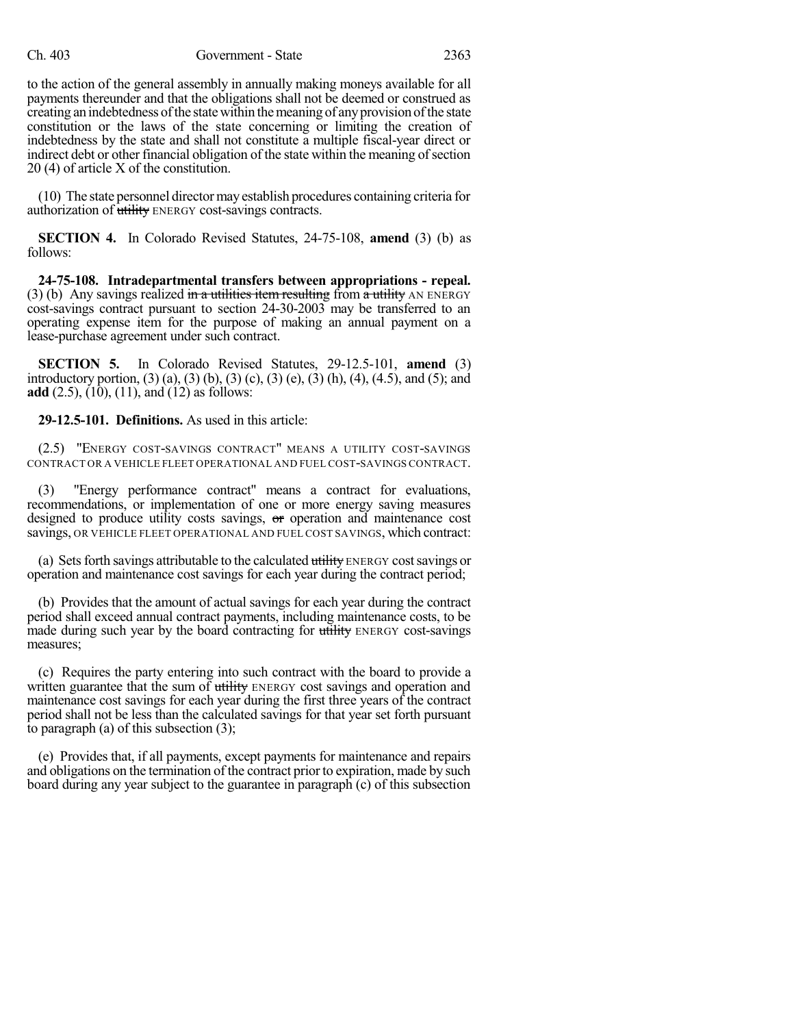to the action of the general assembly in annually making moneys available for all payments thereunder and that the obligations shall not be deemed or construed as creating an indebtedness ofthe statewithin themeaning of anyprovision ofthe state constitution or the laws of the state concerning or limiting the creation of indebtedness by the state and shall not constitute a multiple fiscal-year direct or indirect debt or other financial obligation of the state within the meaning of section 20 (4) of article X of the constitution.

(10) The state personnel directormayestablish procedures containing criteria for authorization of utility ENERGY cost-savings contracts.

**SECTION 4.** In Colorado Revised Statutes, 24-75-108, **amend** (3) (b) as follows:

**24-75-108. Intradepartmental transfers between appropriations - repeal.** (3) (b) Any sayings realized in a utilities item resulting from a utility AN ENERGY cost-savings contract pursuant to section 24-30-2003 may be transferred to an operating expense item for the purpose of making an annual payment on a lease-purchase agreement under such contract.

**SECTION 5.** In Colorado Revised Statutes, 29-12.5-101, **amend** (3) introductory portion, (3) (a), (3) (b), (3) (c), (3) (e), (3) (h), (4), (4.5), and (5); and **add** (2.5), (10), (11), and (12) as follows:

**29-12.5-101. Definitions.** As used in this article:

(2.5) "ENERGY COST-SAVINGS CONTRACT" MEANS A UTILITY COST-SAVINGS CONTRACT OR A VEHICLE FLEET OPERATIONAL AND FUEL COST-SAVINGS CONTRACT.

(3) "Energy performance contract" means a contract for evaluations, recommendations, or implementation of one or more energy saving measures designed to produce utility costs savings, or operation and maintenance cost savings, OR VEHICLE FLEET OPERATIONAL AND FUEL COST SAVINGS, which contract:

(a) Sets forth savings attributable to the calculated utility ENERGY cost savings or operation and maintenance cost savings for each year during the contract period;

(b) Provides that the amount of actual savings for each year during the contract period shall exceed annual contract payments, including maintenance costs, to be made during such year by the board contracting for utility ENERGY cost-savings measures;

(c) Requires the party entering into such contract with the board to provide a written guarantee that the sum of utility ENERGY cost savings and operation and maintenance cost savings for each year during the first three years of the contract period shall not be less than the calculated savings for that year set forth pursuant to paragraph (a) of this subsection (3);

(e) Provides that, if all payments, except payments for maintenance and repairs and obligations on the termination of the contract prior to expiration, made by such board during any year subject to the guarantee in paragraph (c) of this subsection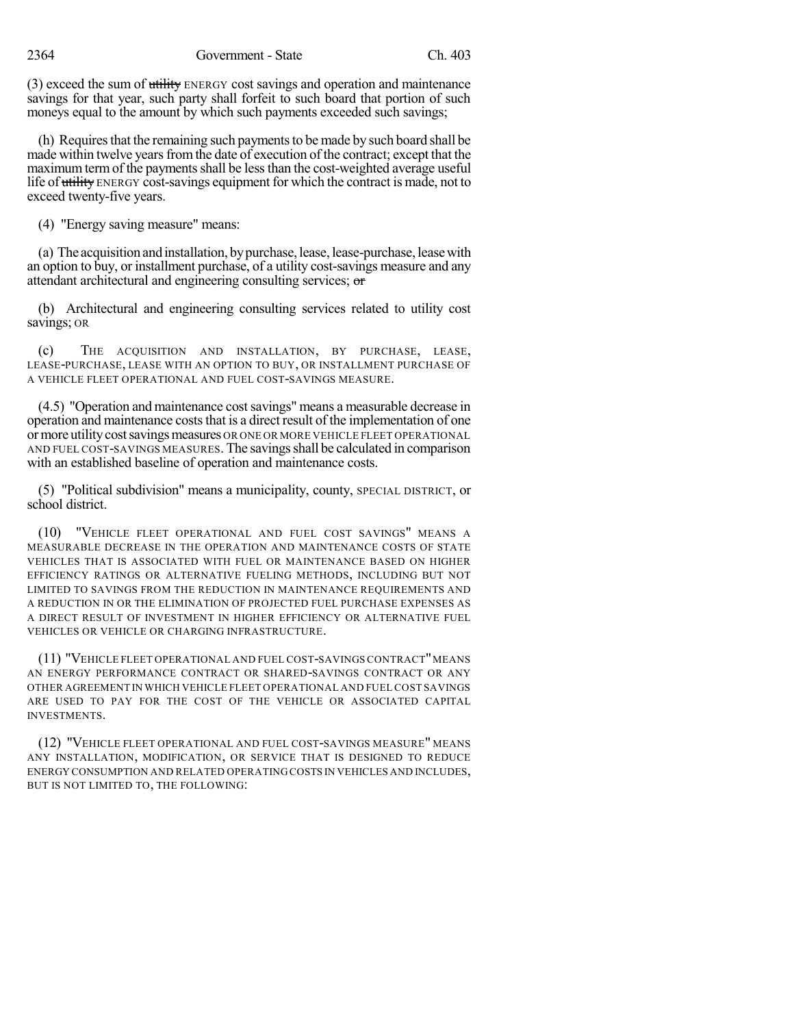(3) exceed the sum of utility ENERGY cost savings and operation and maintenance savings for that year, such party shall forfeit to such board that portion of such moneys equal to the amount by which such payments exceeded such savings;

(h) Requires that the remaining such payments to be made by such board shall be made within twelve years from the date of execution of the contract; except that the maximum term of the payments shall be less than the cost-weighted average useful life of utility ENERGY cost-savings equipment for which the contract is made, not to exceed twenty-five years.

(4) "Energy saving measure" means:

(a) The acquisitionandinstallation, bypurchase,lease, lease-purchase, leasewith an option to buy, or installment purchase, of a utility cost-savings measure and any attendant architectural and engineering consulting services; or

(b) Architectural and engineering consulting services related to utility cost savings; OR

(c) THE ACQUISITION AND INSTALLATION, BY PURCHASE, LEASE, LEASE-PURCHASE, LEASE WITH AN OPTION TO BUY, OR INSTALLMENT PURCHASE OF A VEHICLE FLEET OPERATIONAL AND FUEL COST-SAVINGS MEASURE.

(4.5) "Operation and maintenance costsavings" means a measurable decrease in operation and maintenance costs that is a direct result of the implementation of one ormore utilitycostsavingsmeasures OR ONE OR MORE VEHICLE FLEET OPERATIONAL AND FUEL COST-SAVINGS MEASURES. The savings shall be calculated in comparison with an established baseline of operation and maintenance costs.

(5) "Political subdivision" means a municipality, county, SPECIAL DISTRICT, or school district.

(10) "VEHICLE FLEET OPERATIONAL AND FUEL COST SAVINGS" MEANS A MEASURABLE DECREASE IN THE OPERATION AND MAINTENANCE COSTS OF STATE VEHICLES THAT IS ASSOCIATED WITH FUEL OR MAINTENANCE BASED ON HIGHER EFFICIENCY RATINGS OR ALTERNATIVE FUELING METHODS, INCLUDING BUT NOT LIMITED TO SAVINGS FROM THE REDUCTION IN MAINTENANCE REQUIREMENTS AND A REDUCTION IN OR THE ELIMINATION OF PROJECTED FUEL PURCHASE EXPENSES AS A DIRECT RESULT OF INVESTMENT IN HIGHER EFFICIENCY OR ALTERNATIVE FUEL VEHICLES OR VEHICLE OR CHARGING INFRASTRUCTURE.

(11) "VEHICLE FLEET OPERATIONAL AND FUEL COST-SAVINGS CONTRACT"MEANS AN ENERGY PERFORMANCE CONTRACT OR SHARED-SAVINGS CONTRACT OR ANY OTHER AGREEMENT IN WHICH VEHICLE FLEET OPERATIONAL AND FUEL COST SAVINGS ARE USED TO PAY FOR THE COST OF THE VEHICLE OR ASSOCIATED CAPITAL INVESTMENTS.

(12) "VEHICLE FLEET OPERATIONAL AND FUEL COST-SAVINGS MEASURE" MEANS ANY INSTALLATION, MODIFICATION, OR SERVICE THAT IS DESIGNED TO REDUCE ENERGY CONSUMPTION AND RELATED OPERATING COSTS IN VEHICLES AND INCLUDES, BUT IS NOT LIMITED TO, THE FOLLOWING: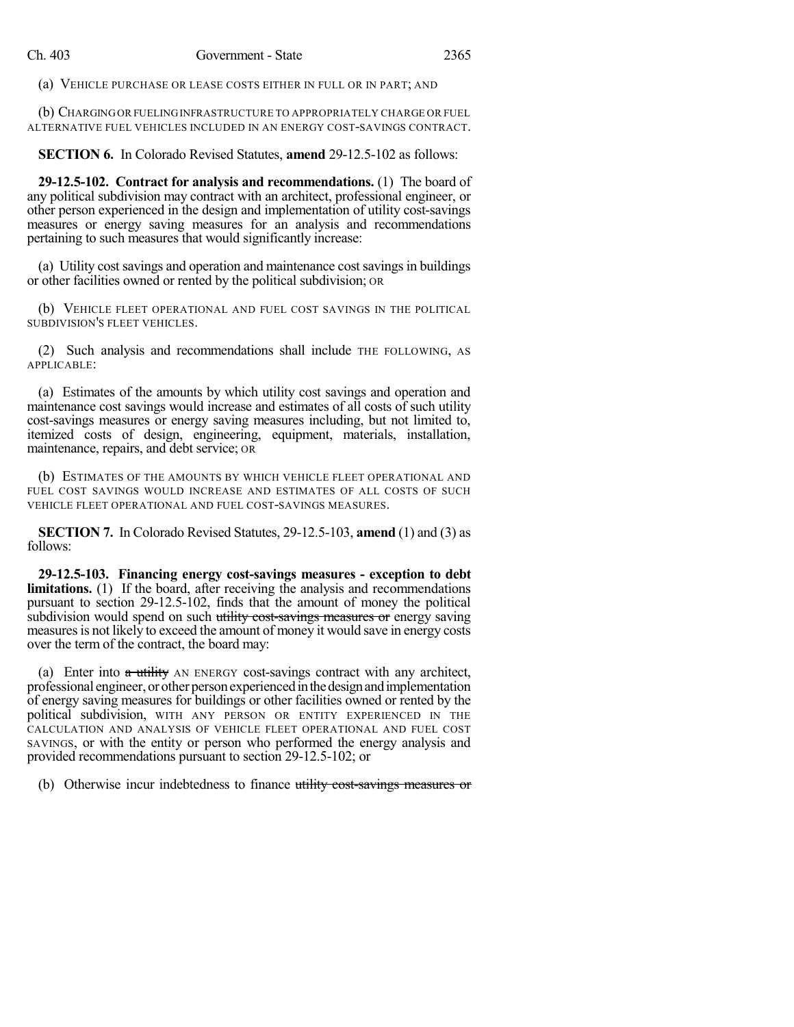(a) VEHICLE PURCHASE OR LEASE COSTS EITHER IN FULL OR IN PART; AND

(b) CHARGINGOR FUELINGINFRASTRUCTURE TO APPROPRIATELY CHARGE OR FUEL ALTERNATIVE FUEL VEHICLES INCLUDED IN AN ENERGY COST-SAVINGS CONTRACT.

**SECTION 6.** In Colorado Revised Statutes, **amend** 29-12.5-102 as follows:

**29-12.5-102. Contract for analysis and recommendations.** (1) The board of any political subdivision may contract with an architect, professional engineer, or other person experienced in the design and implementation of utility cost-savings measures or energy saving measures for an analysis and recommendations pertaining to such measures that would significantly increase:

(a) Utility cost savings and operation and maintenance costsavingsin buildings or other facilities owned or rented by the political subdivision; OR

(b) VEHICLE FLEET OPERATIONAL AND FUEL COST SAVINGS IN THE POLITICAL SUBDIVISION'S FLEET VEHICLES.

(2) Such analysis and recommendations shall include THE FOLLOWING, AS APPLICABLE:

(a) Estimates of the amounts by which utility cost savings and operation and maintenance cost savings would increase and estimates of all costs of such utility cost-savings measures or energy saving measures including, but not limited to, itemized costs of design, engineering, equipment, materials, installation, maintenance, repairs, and debt service; OR

(b) ESTIMATES OF THE AMOUNTS BY WHICH VEHICLE FLEET OPERATIONAL AND FUEL COST SAVINGS WOULD INCREASE AND ESTIMATES OF ALL COSTS OF SUCH VEHICLE FLEET OPERATIONAL AND FUEL COST-SAVINGS MEASURES.

**SECTION 7.** In Colorado Revised Statutes, 29-12.5-103, **amend** (1) and (3) as follows:

**29-12.5-103. Financing energy cost-savings measures - exception to debt limitations.** (1) If the board, after receiving the analysis and recommendations pursuant to section 29-12.5-102, finds that the amount of money the political subdivision would spend on such utility cost-savings measures or energy saving measures is not likely to exceed the amount of money it would save in energy costs over the term of the contract, the board may:

(a) Enter into  $a$  utility AN ENERGY cost-savings contract with any architect, professional engineer, or other personexperiencedinthedesignandimplementation of energy saving measures for buildings or other facilities owned or rented by the political subdivision, WITH ANY PERSON OR ENTITY EXPERIENCED IN THE CALCULATION AND ANALYSIS OF VEHICLE FLEET OPERATIONAL AND FUEL COST SAVINGS, or with the entity or person who performed the energy analysis and provided recommendations pursuant to section 29-12.5-102; or

(b) Otherwise incur indebtedness to finance utility cost-savings measures or